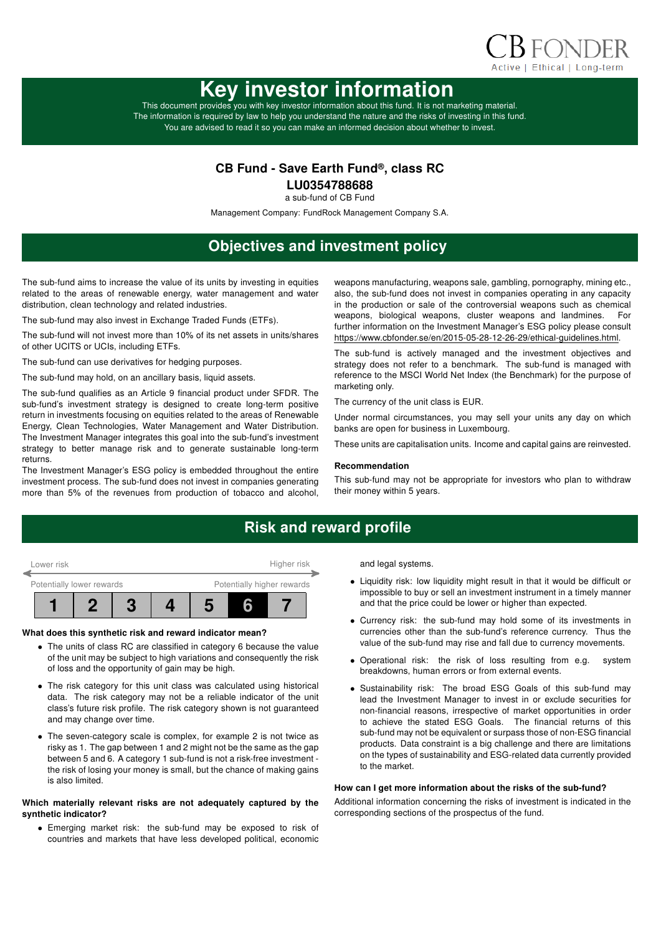

# Key investor information

This document provides you with key investor information about this fund. It is not marketing material. The information is required by law to help you understand the nature and the risks of investing in this fund. You are advised to read it so you can make an informed decision about whether to invest.

### CB Fund - Save Earth Fund®, class RC

LU0354788688

a sub-fund of CB Fund

Management Company: FundRock Management Company S.A.

## Objectives and investment policy

The sub-fund aims to increase the value of its units by investing in equities related to the areas of renewable energy, water management and water distribution, clean technology and related industries.

The sub-fund may also invest in Exchange Traded Funds (ETFs).

The sub-fund will not invest more than 10% of its net assets in units/shares of other UCITS or UCIs, including ETFs.

The sub-fund can use derivatives for hedging purposes.

The sub-fund may hold, on an ancillary basis, liquid assets.

The sub-fund qualifies as an Article 9 financial product under SFDR. The sub-fund's investment strategy is designed to create long-term positive return in investments focusing on equities related to the areas of Renewable Energy, Clean Technologies, Water Management and Water Distribution. The Investment Manager integrates this goal into the sub-fund's investment strategy to better manage risk and to generate sustainable long-term returns.

The Investment Manager's ESG policy is embedded throughout the entire investment process. The sub-fund does not invest in companies generating more than 5% of the revenues from production of tobacco and alcohol, weapons manufacturing, weapons sale, gambling, pornography, mining etc., also, the sub-fund does not invest in companies operating in any capacity in the production or sale of the controversial weapons such as chemical weapons, biological weapons, cluster weapons and landmines. For further information on the Investment Manager's ESG policy please consult https://www.cbfonder.se/en/2015-05-28-12-26-29/ethical-guidelines.html.

The sub-fund is actively managed and the investment objectives and strategy does not refer to a benchmark. The sub-fund is managed with reference to the MSCI World Net Index (the Benchmark) for the purpose of marketing only.

The currency of the unit class is EUR.

Under normal circumstances, you may sell your units any day on which banks are open for business in Luxembourg.

These units are capitalisation units. Income and capital gains are reinvested.

#### Recommendation

This sub-fund may not be appropriate for investors who plan to withdraw their money within 5 years.

### Risk and reward profile



#### What does this synthetic risk and reward indicator mean?

- The units of class RC are classified in category 6 because the value of the unit may be subject to high variations and consequently the risk of loss and the opportunity of gain may be high.
- The risk category for this unit class was calculated using historical data. The risk category may not be a reliable indicator of the unit class's future risk profile. The risk category shown is not guaranteed and may change over time.
- The seven-category scale is complex, for example 2 is not twice as risky as 1. The gap between 1 and 2 might not be the same as the gap between 5 and 6. A category 1 sub-fund is not a risk-free investment the risk of losing your money is small, but the chance of making gains is also limited.

### Which materially relevant risks are not adequately captured by the synthetic indicator?

• Emerging market risk: the sub-fund may be exposed to risk of countries and markets that have less developed political, economic and legal systems.

- Liquidity risk: low liquidity might result in that it would be difficult or impossible to buy or sell an investment instrument in a timely manner and that the price could be lower or higher than expected.
- Currency risk: the sub-fund may hold some of its investments in currencies other than the sub-fund's reference currency. Thus the value of the sub-fund may rise and fall due to currency movements.
- Operational risk: the risk of loss resulting from e.g. system breakdowns, human errors or from external events.
- Sustainability risk: The broad ESG Goals of this sub-fund may lead the Investment Manager to invest in or exclude securities for non-financial reasons, irrespective of market opportunities in order to achieve the stated ESG Goals. The financial returns of this sub-fund may not be equivalent or surpass those of non-ESG financial products. Data constraint is a big challenge and there are limitations on the types of sustainability and ESG-related data currently provided to the market.

#### How can I get more information about the risks of the sub-fund?

Additional information concerning the risks of investment is indicated in the corresponding sections of the prospectus of the fund.